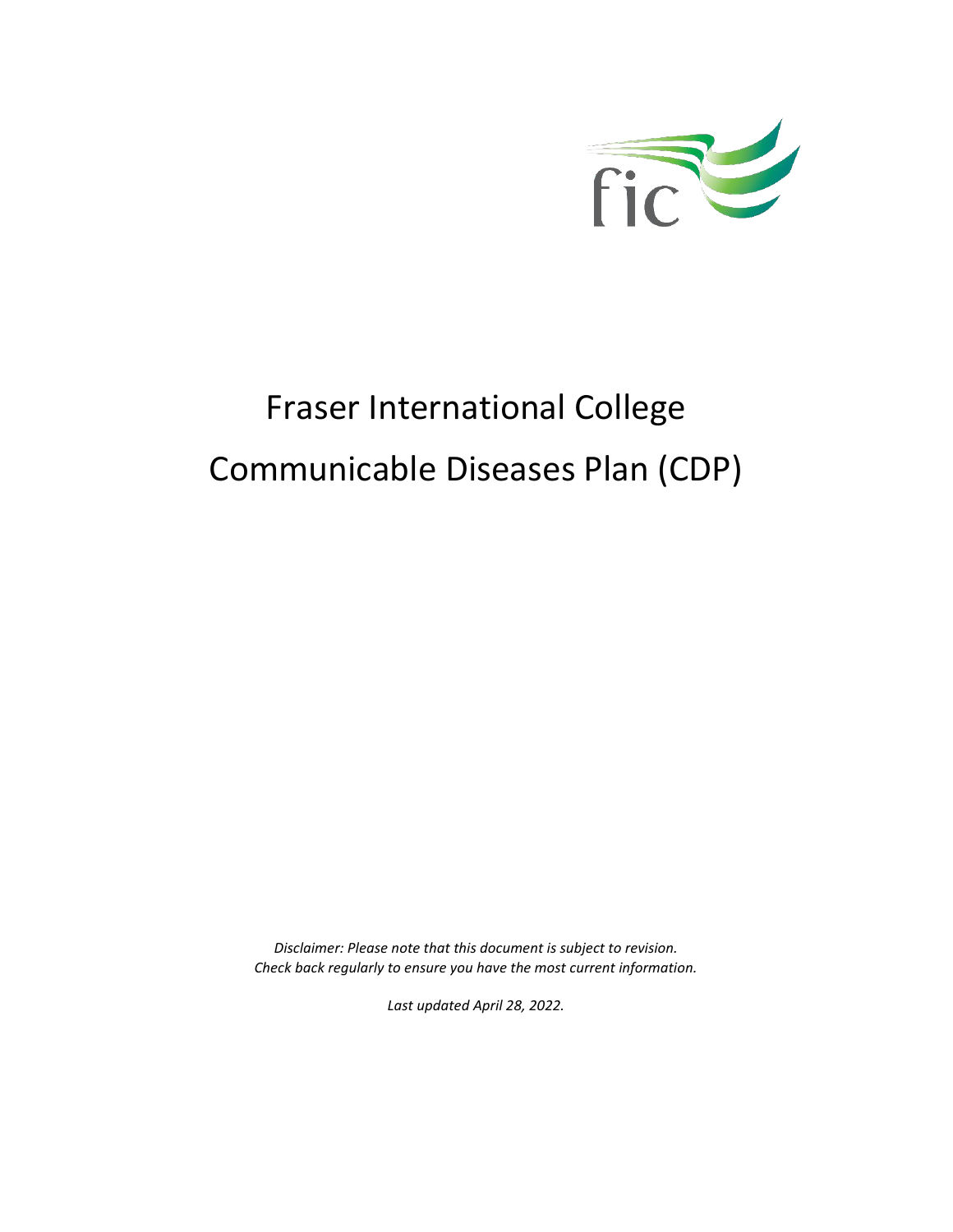

# Fraser International College Communicable Diseases Plan (CDP)

*Disclaimer: Please note that this document is subject to revision. Check back regularly to ensure you have the most current information.*

*Last updated April 28, 2022.*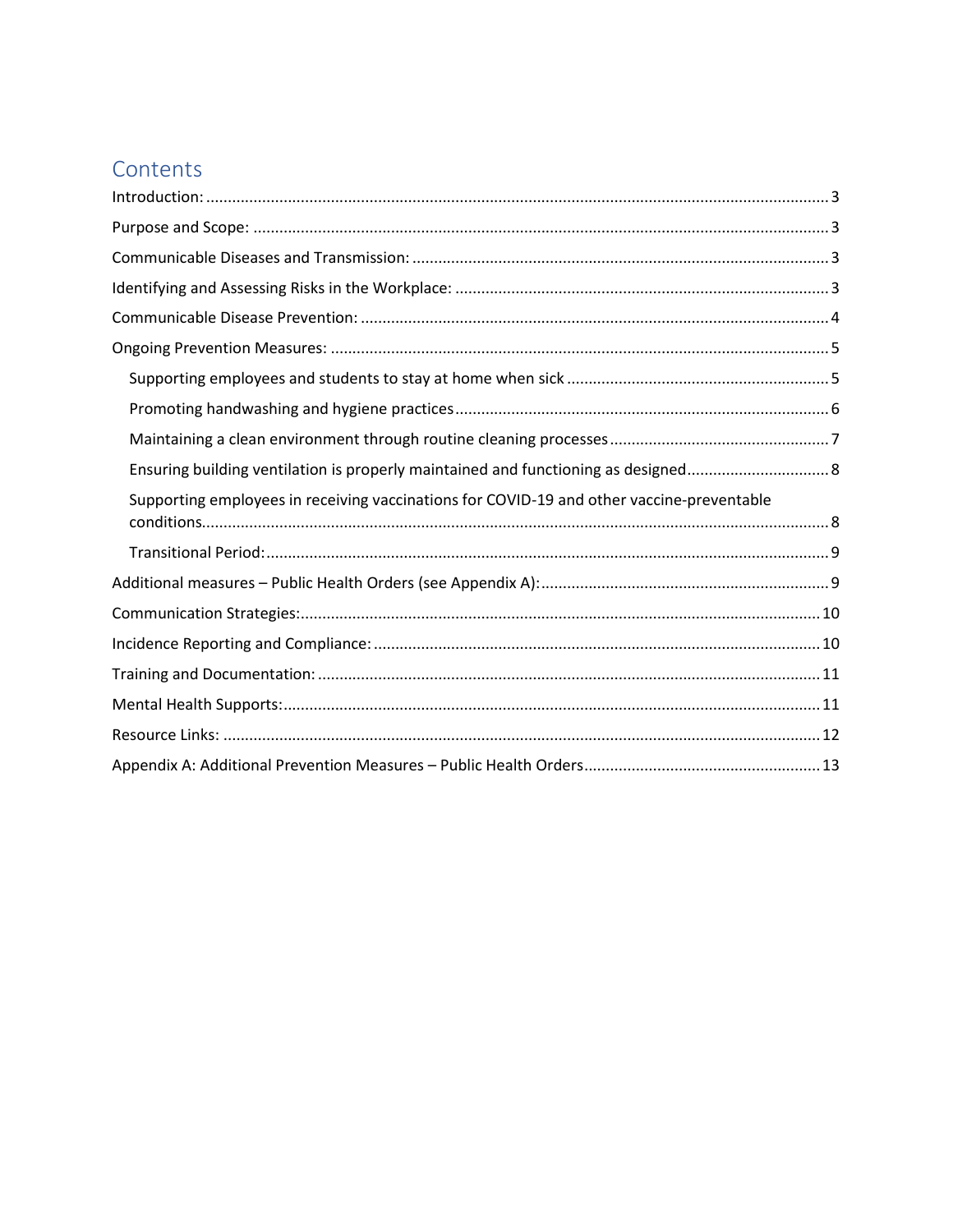# Contents

| Ensuring building ventilation is properly maintained and functioning as designed 8        |
|-------------------------------------------------------------------------------------------|
|                                                                                           |
| Supporting employees in receiving vaccinations for COVID-19 and other vaccine-preventable |
|                                                                                           |
|                                                                                           |
|                                                                                           |
|                                                                                           |
|                                                                                           |
|                                                                                           |
|                                                                                           |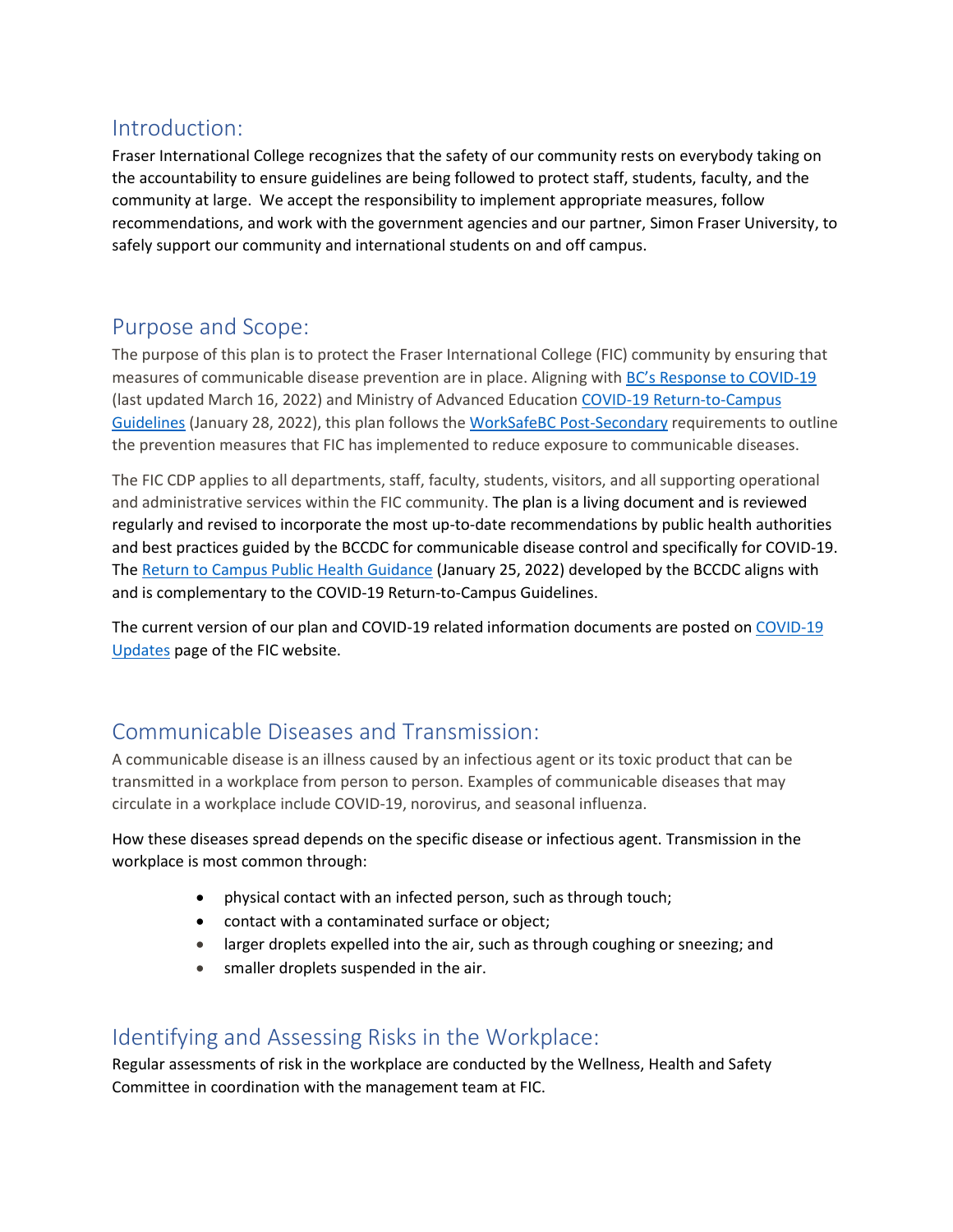# <span id="page-2-0"></span>Introduction:

Fraser International College recognizes that the safety of our community rests on everybody taking on the accountability to ensure guidelines are being followed to protect staff, students, faculty, and the community at large. We accept the responsibility to implement appropriate measures, follow recommendations, and work with the government agencies and our partner, Simon Fraser University, to safely support our community and international students on and off campus.

# <span id="page-2-1"></span>Purpose and Scope:

The purpose of this plan is to protect the Fraser International College (FIC) community by ensuring that measures of communicable disease prevention are in place. Aligning with BC's R[esponse to COVID-19](https://www2.gov.bc.ca/gov/content/covid-19/info/restart) (last updated March 16, 2022) and Ministry of Advanced Educatio[n COVID-19 Return-to-Campus](https://www2.gov.bc.ca/assets/gov/education/post-secondary-education/institution-resources-administration/covid19-return-to-campus-guidelines-web.pdf)  [Guidelines](https://www2.gov.bc.ca/assets/gov/education/post-secondary-education/institution-resources-administration/covid19-return-to-campus-guidelines-web.pdf) (January 28, 2022), this plan follows the WorkSafeBC [Post-Secondary](https://www.worksafebc.com/en/covid-19/industry-specific-information/education-post-secondary) requirements to outline the prevention measures that FIC has implemented to reduce exposure to communicable diseases.

The FIC CDP applies to all departments, staff, faculty, students, visitors, and all supporting operational and administrative services within the FIC community. The plan is a living document and is reviewed regularly and revised to incorporate the most up-to-date recommendations by public health authorities and best practices guided by the BCCDC for communicable disease control and specifically for COVID-19. The [Return to Campus Public Health Guidance](http://www.bccdc.ca/Health-Info-Site/Documents/COVID_public_guidance/Public_Health_Guidance_Campus.pdf) (January 25, 2022) developed by the BCCDC aligns with and is complementary to the COVID-19 Return-to-Campus Guidelines.

The current version of our plan and COVID-19 related information documents are posted o[n COVID-19](https://www.fraseric.ca/about/covid-19-updates/travelling-to-canada/)  [Updates](https://www.fraseric.ca/about/covid-19-updates/travelling-to-canada/) page of the FIC website.

# <span id="page-2-2"></span>Communicable Diseases and Transmission:

A communicable disease is an illness caused by an infectious agent or its toxic product that can be transmitted in a workplace from person to person. Examples of communicable diseases that may circulate in a workplace include COVID-19, norovirus, and seasonal influenza.

How these diseases spread depends on the specific disease or infectious agent. Transmission in the workplace is most common through:

- physical contact with an infected person, such as through touch;
- contact with a contaminated surface or object;
- larger droplets expelled into the air, such as through coughing or sneezing; and
- smaller droplets suspended in the air.

### <span id="page-2-3"></span>Identifying and Assessing Risks in the Workplace:

Regular assessments of risk in the workplace are conducted by the Wellness, Health and Safety Committee in coordination with the management team at FIC.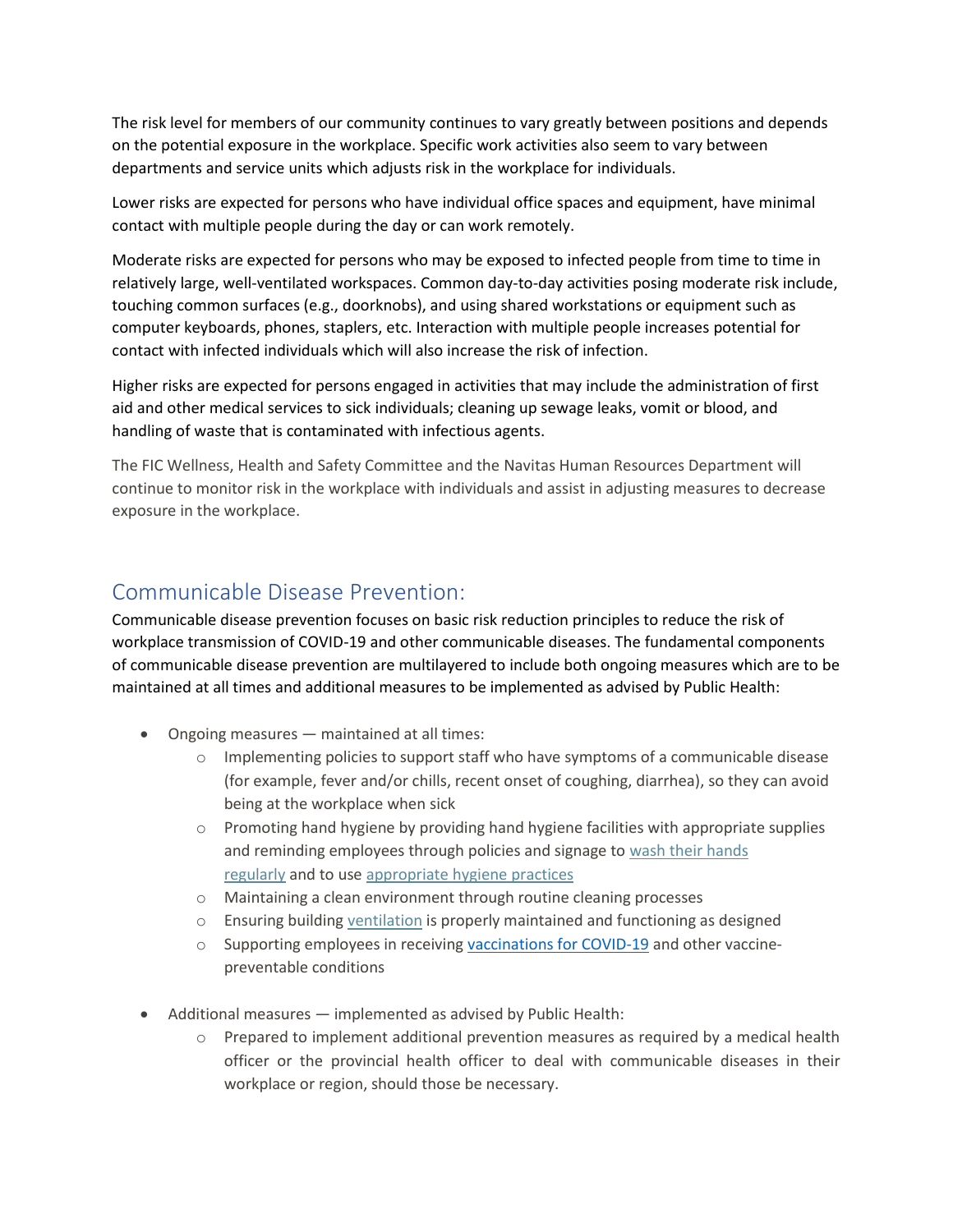The risk level for members of our community continues to vary greatly between positions and depends on the potential exposure in the workplace. Specific work activities also seem to vary between departments and service units which adjusts risk in the workplace for individuals.

Lower risks are expected for persons who have individual office spaces and equipment, have minimal contact with multiple people during the day or can work remotely.

Moderate risks are expected for persons who may be exposed to infected people from time to time in relatively large, well-ventilated workspaces. Common day-to-day activities posing moderate risk include, touching common surfaces (e.g., doorknobs), and using shared workstations or equipment such as computer keyboards, phones, staplers, etc. Interaction with multiple people increases potential for contact with infected individuals which will also increase the risk of infection.

Higher risks are expected for persons engaged in activities that may include the administration of first aid and other medical services to sick individuals; cleaning up sewage leaks, vomit or blood, and handling of waste that is contaminated with infectious agents.

The FIC Wellness, Health and Safety Committee and the Navitas Human Resources Department will continue to monitor risk in the workplace with individuals and assist in adjusting measures to decrease exposure in the workplace.

# <span id="page-3-0"></span>Communicable Disease Prevention:

Communicable disease prevention focuses on basic risk reduction principles to reduce the risk of workplace transmission of COVID-19 and other communicable diseases. The fundamental components of communicable disease prevention are multilayered to include both ongoing measures which are to be maintained at all times and additional measures to be implemented as advised by Public Health:

- Ongoing measures maintained at all times:
	- $\circ$  Implementing policies to support staff who have symptoms of a communicable disease (for example, fever and/or chills, recent onset of coughing, diarrhea), so they can avoid being at the workplace when sick
	- $\circ$  Promoting hand hygiene by providing hand hygiene facilities with appropriate supplies and reminding employees through policies and signage to wash their hands [regularly](https://www.worksafebc.com/resources/health-safety/posters/help-prevent-spread-covid-19-handwashing?lang=en) and to use [appropriate hygiene practices](https://www.worksafebc.com/resources/health-safety/posters/help-prevent-spread-covid-19-cover-coughs-sneezes?lang=en)
	- o Maintaining a clean environment through routine cleaning processes
	- $\circ$  Ensuring building [ventilation](https://www.worksafebc.com/resources/about-us/covid-19/general-ventilation-and-air-circulation-covid-19-faq?lang=en) is properly maintained and functioning as designed
	- $\circ$  Supporting employees in receiving [vaccinations for COVID-19](http://www.bccdc.ca/health-info/diseases-conditions/covid-19/covid-19-vaccine) and other vaccinepreventable conditions
- Additional measures implemented as advised by Public Health:
	- $\circ$  Prepared to implement additional prevention measures as required by a medical health officer or the provincial health officer to deal with communicable diseases in their workplace or region, should those be necessary.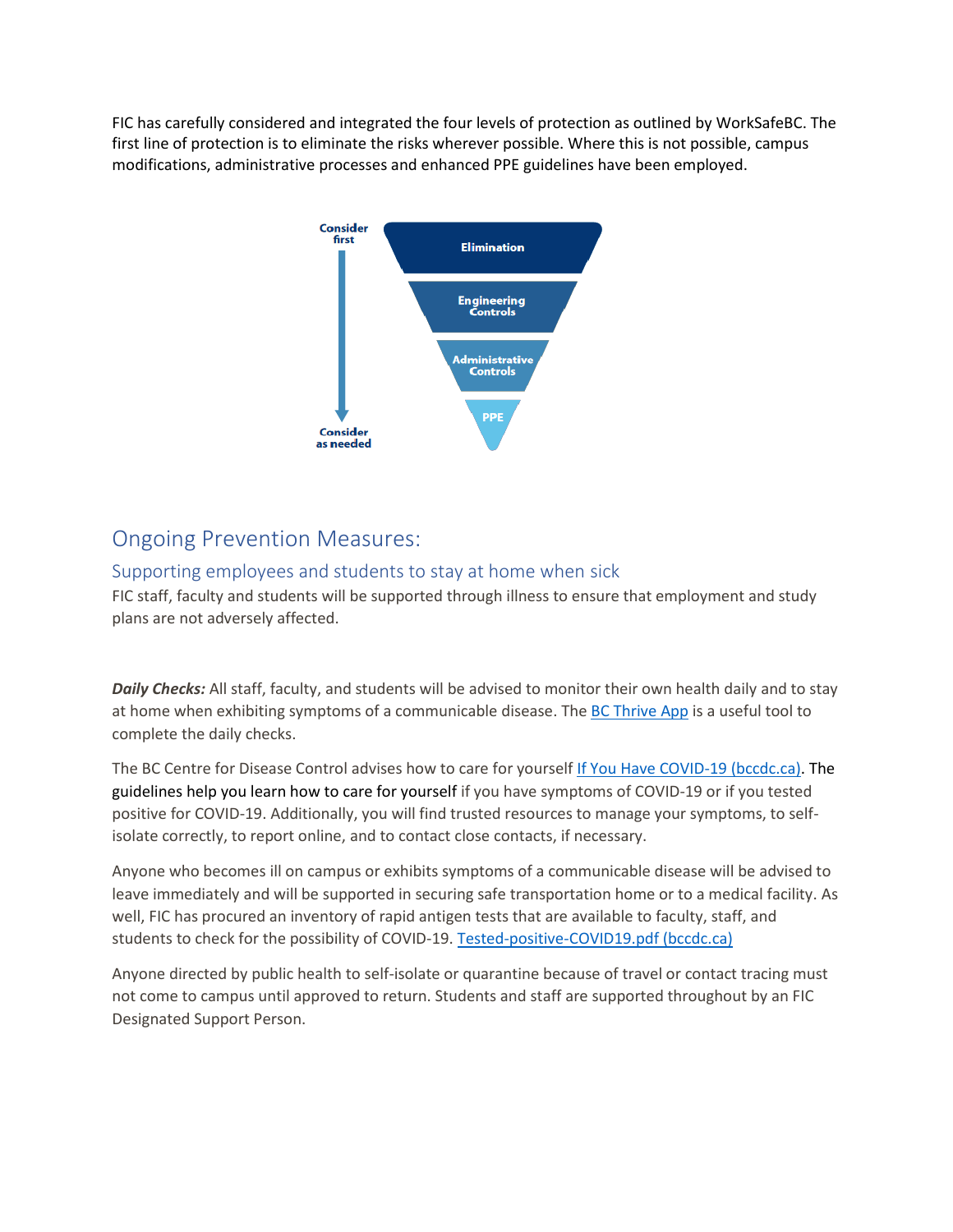FIC has carefully considered and integrated the four levels of protection as outlined by WorkSafeBC. The first line of protection is to eliminate the risks wherever possible. Where this is not possible, campus modifications, administrative processes and enhanced PPE guidelines have been employed.



# <span id="page-4-0"></span>Ongoing Prevention Measures:

#### <span id="page-4-1"></span>Supporting employees and students to stay at home when sick

FIC staff, faculty and students will be supported through illness to ensure that employment and study plans are not adversely affected.

*Daily Checks:* All staff, faculty, and students will be advised to monitor their own health daily and to stay at home when exhibiting symptoms of a communicable disease. Th[e BC Thrive App](https://bc.thrive.health/covid19app/selfcheck) is a useful tool to complete the daily checks.

The BC Centre for Disease Control advises how to care for yoursel[f If You Have COVID-19 \(bccdc.ca\).](http://www.bccdc.ca/health-info/diseases-conditions/covid-19/if-you-have-covid-19) The guidelines help you learn how to care for yourself if you have symptoms of COVID-19 or if you tested positive for COVID-19. Additionally, you will find trusted resources to manage your symptoms, to selfisolate correctly, to report online, and to contact close contacts, if necessary.

Anyone who becomes ill on campus or exhibits symptoms of a communicable disease will be advised to leave immediately and will be supported in securing safe transportation home or to a medical facility. As well, FIC has procured an inventory of rapid antigen tests that are available to faculty, staff, and students to check for the possibility of COVID-19. [Tested-positive-COVID19.pdf \(bccdc.ca\)](http://www.bccdc.ca/Health-Info-Site/Documents/Tested-positive-COVID19.pdf)

Anyone directed by public health to self-isolate or quarantine because of travel or contact tracing must not come to campus until approved to return. Students and staff are supported throughout by an FIC Designated Support Person.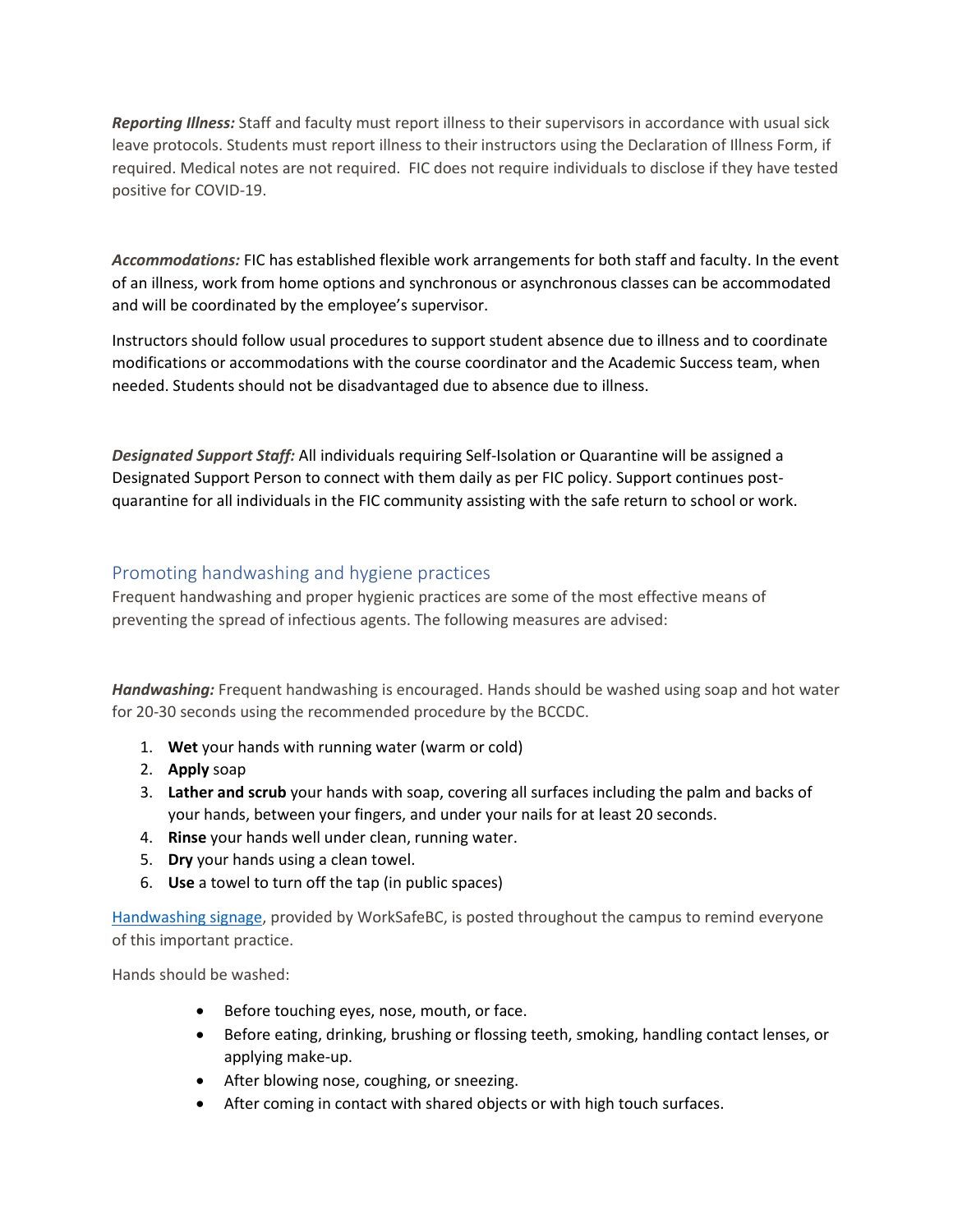*Reporting Illness:* Staff and faculty must report illness to their supervisors in accordance with usual sick leave protocols. Students must report illness to their instructors using the Declaration of Illness Form, if required. Medical notes are not required. FIC does not require individuals to disclose if they have tested positive for COVID-19.

*Accommodations:* FIC has established flexible work arrangements for both staff and faculty. In the event of an illness, work from home options and synchronous or asynchronous classes can be accommodated and will be coordinated by the employee's supervisor.

Instructors should follow usual procedures to support student absence due to illness and to coordinate modifications or accommodations with the course coordinator and the Academic Success team, when needed. Students should not be disadvantaged due to absence due to illness.

*Designated Support Staff:* All individuals requiring Self-Isolation or Quarantine will be assigned a Designated Support Person to connect with them daily as per FIC policy. Support continues postquarantine for all individuals in the FIC community assisting with the safe return to school or work.

#### <span id="page-5-0"></span>Promoting handwashing and hygiene practices

Frequent handwashing and proper hygienic practices are some of the most effective means of preventing the spread of infectious agents. The following measures are advised:

*Handwashing:* Frequent handwashing is encouraged. Hands should be washed using soap and hot water for 20-30 seconds using the recommended procedure by the BCCDC.

- 1. **Wet** your hands with running water (warm or cold)
- 2. **Apply** soap
- 3. **Lather and scrub** your hands with soap, covering all surfaces including the palm and backs of your hands, between your fingers, and under your nails for at least 20 seconds.
- 4. **Rinse** your hands well under clean, running water.
- 5. **Dry** your hands using a clean towel.
- 6. **Use** a towel to turn off the tap (in public spaces)

[Handwashing signage,](https://www.worksafebc.com/en/resources/health-safety/posters/prevent-spread-communicable-disease-handwashing?lang=en) provided by WorkSafeBC, is posted throughout the campus to remind everyone of this important practice.

Hands should be washed:

- Before touching eyes, nose, mouth, or face.
- Before eating, drinking, brushing or flossing teeth, smoking, handling contact lenses, or applying make-up.
- After blowing nose, coughing, or sneezing.
- After coming in contact with shared objects or with high touch surfaces.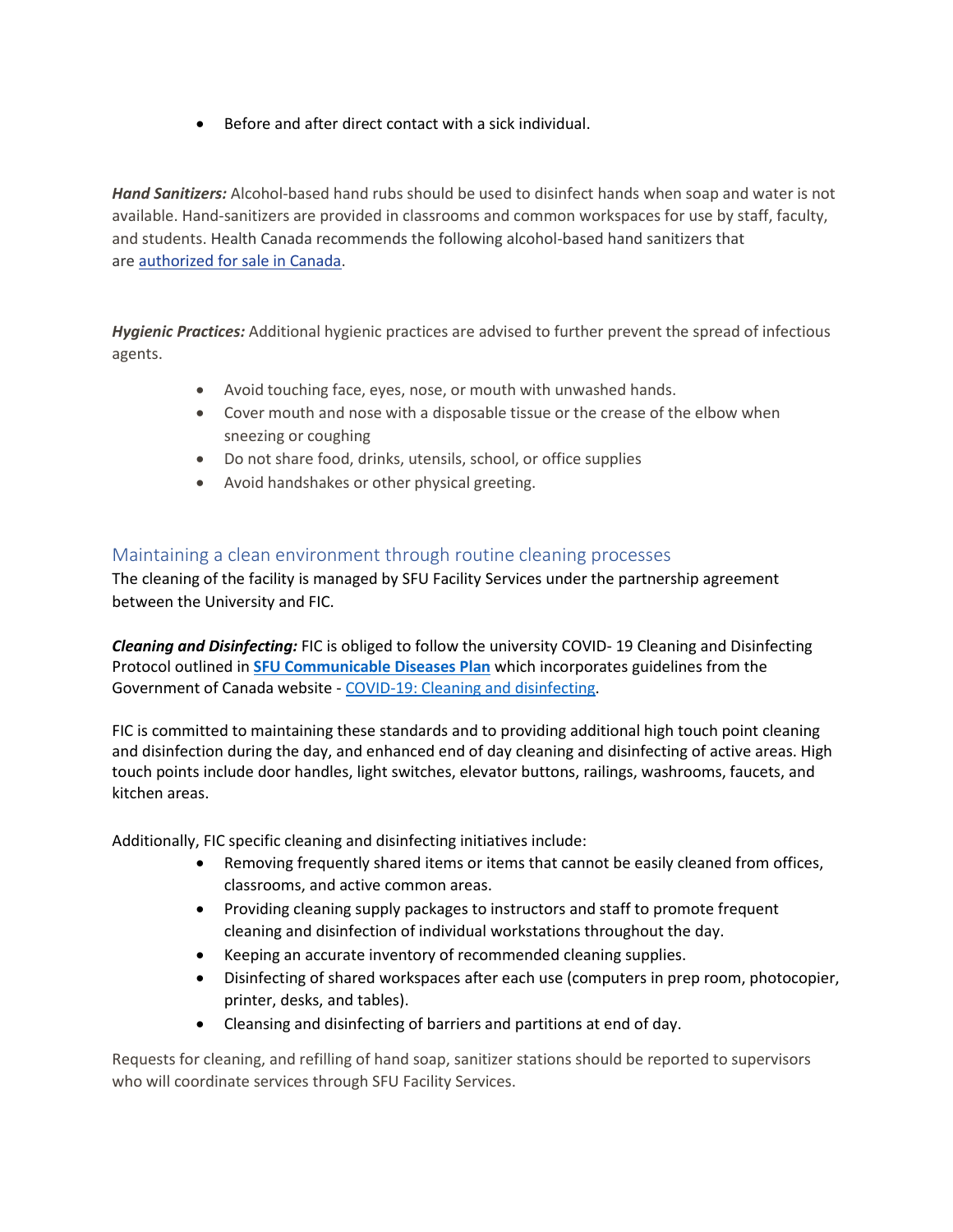• Before and after direct contact with a sick individual.

*Hand Sanitizers:* Alcohol-based hand rubs should be used to disinfect hands when soap and water is not available. Hand-sanitizers are provided in classrooms and common workspaces for use by staff, faculty, and students. Health Canada recommends the following alcohol-based hand sanitizers that are [authorized for sale in Canada.](https://www.canada.ca/en/health-canada/services/drugs-health-products/disinfectants/covid-19/hand-sanitizer.html)

*Hygienic Practices:* Additional hygienic practices are advised to further prevent the spread of infectious agents.

- Avoid touching face, eyes, nose, or mouth with unwashed hands.
- Cover mouth and nose with a disposable tissue or the crease of the elbow when sneezing or coughing
- Do not share food, drinks, utensils, school, or office supplies
- Avoid handshakes or other physical greeting.

#### <span id="page-6-0"></span>Maintaining a clean environment through routine cleaning processes

The cleaning of the facility is managed by SFU Facility Services under the partnership agreement between the University and FIC.

*Cleaning and Disinfecting:* FIC is obliged to follow the university COVID- 19 Cleaning and Disinfecting Protocol outlined in **[SFU Communicable Diseases Plan](https://www.sfu.ca/srs/work-research-safety/general-safety/cdp.html)** which incorporates guidelines from the Government of Canada website - [COVID-19: Cleaning and disinfecting.](https://www.canada.ca/en/public-health/services/diseases/2019-novel-coronavirus-infection/prevention-risks/cleaning-disinfecting.html)

FIC is committed to maintaining these standards and to providing additional high touch point cleaning and disinfection during the day, and enhanced end of day cleaning and disinfecting of active areas. High touch points include door handles, light switches, elevator buttons, railings, washrooms, faucets, and kitchen areas.

Additionally, FIC specific cleaning and disinfecting initiatives include:

- Removing frequently shared items or items that cannot be easily cleaned from offices, classrooms, and active common areas.
- Providing cleaning supply packages to instructors and staff to promote frequent cleaning and disinfection of individual workstations throughout the day.
- Keeping an accurate inventory of recommended cleaning supplies.
- Disinfecting of shared workspaces after each use (computers in prep room, photocopier, printer, desks, and tables).
- Cleansing and disinfecting of barriers and partitions at end of day.

Requests for cleaning, and refilling of hand soap, sanitizer stations should be reported to supervisors who will coordinate services through SFU Facility Services.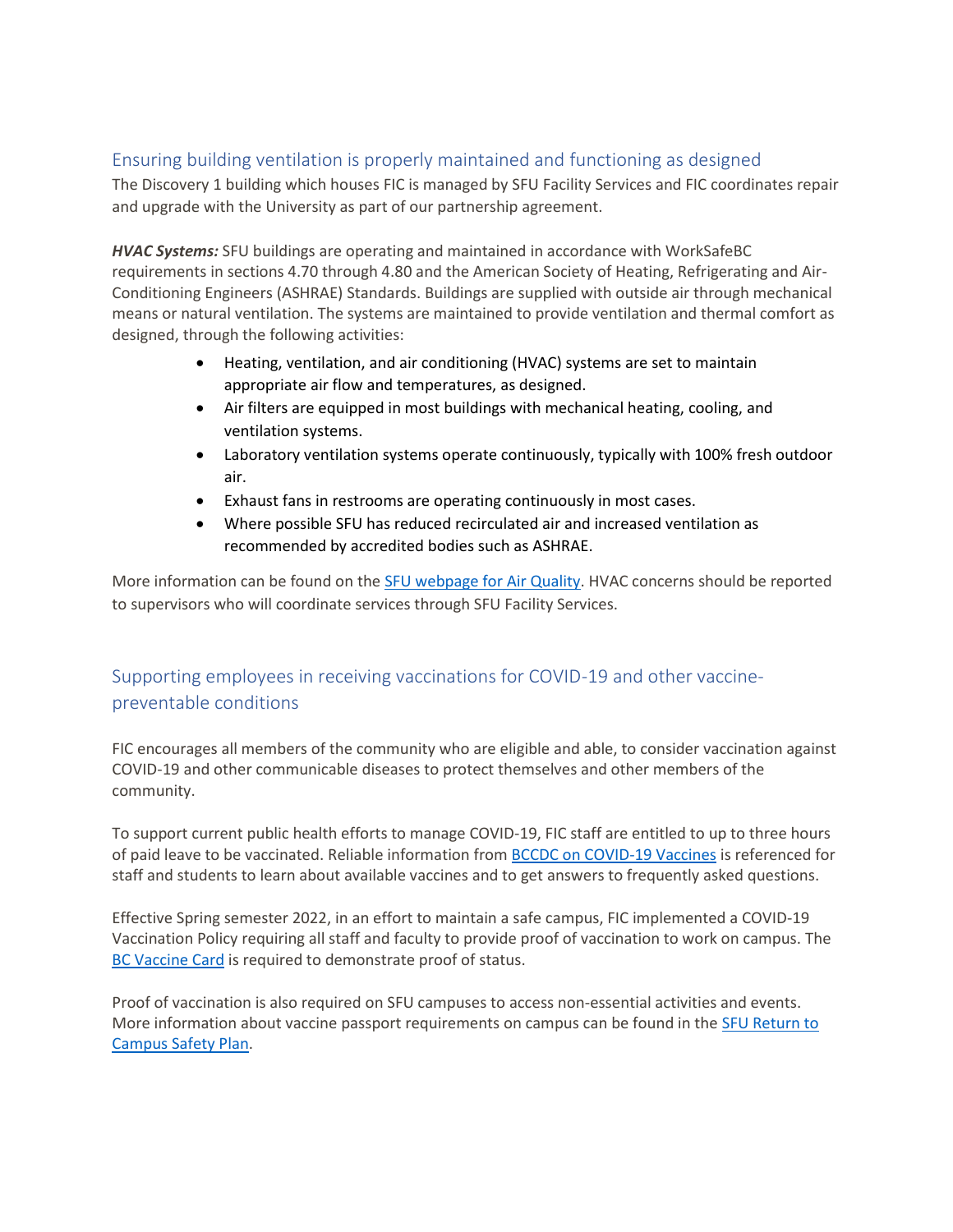#### <span id="page-7-0"></span>Ensuring building ventilation is properly maintained and functioning as designed

The Discovery 1 building which houses FIC is managed by SFU Facility Services and FIC coordinates repair and upgrade with the University as part of our partnership agreement.

*HVAC Systems:* SFU buildings are operating and maintained in accordance with WorkSafeBC requirements in sections 4.70 through 4.80 and the American Society of Heating, Refrigerating and Air-Conditioning Engineers (ASHRAE) Standards. Buildings are supplied with outside air through mechanical means or natural ventilation. The systems are maintained to provide ventilation and thermal comfort as designed, through the following activities:

- Heating, ventilation, and air conditioning (HVAC) systems are set to maintain appropriate air flow and temperatures, as designed.
- Air filters are equipped in most buildings with mechanical heating, cooling, and ventilation systems.
- Laboratory ventilation systems operate continuously, typically with 100% fresh outdoor air.
- Exhaust fans in restrooms are operating continuously in most cases.
- Where possible SFU has reduced recirculated air and increased ventilation as recommended by accredited bodies such as ASHRAE.

More information can be found on the [SFU webpage for Air Quality.](https://www.sfu.ca/srs/work-research-safety/general-safety/indoor-air-quality/air-quality/COVID-19.html) HVAC concerns should be reported to supervisors who will coordinate services through SFU Facility Services.

### <span id="page-7-1"></span>Supporting employees in receiving vaccinations for COVID-19 and other vaccinepreventable conditions

FIC encourages all members of the community who are eligible and able, to consider vaccination against COVID-19 and other communicable diseases to protect themselves and other members of the community.

To support current public health efforts to manage COVID-19, FIC staff are entitled to up to three hours of paid leave to be vaccinated. Reliable information fro[m BCCDC on COVID-19 Vaccines](http://www.bccdc.ca/health-info/diseases-conditions/covid-19/covid-19-vaccine) is referenced for staff and students to learn about available vaccines and to get answers to frequently asked questions.

Effective Spring semester 2022, in an effort to maintain a safe campus, FIC implemented a COVID-19 Vaccination Policy requiring all staff and faculty to provide proof of vaccination to work on campus. The [BC Vaccine Card](https://www2.gov.bc.ca/gov/content/covid-19/vaccine/proof/businesses) is required to demonstrate proof of status.

Proof of vaccination is also required on SFU campuses to access non-essential activities and events. More information about vaccine passport requirements on campus can be found in the SFU Return to [Campus Safety Plan.](https://www.sfu.ca/returntocampus/resources/fall-safety-plan.html)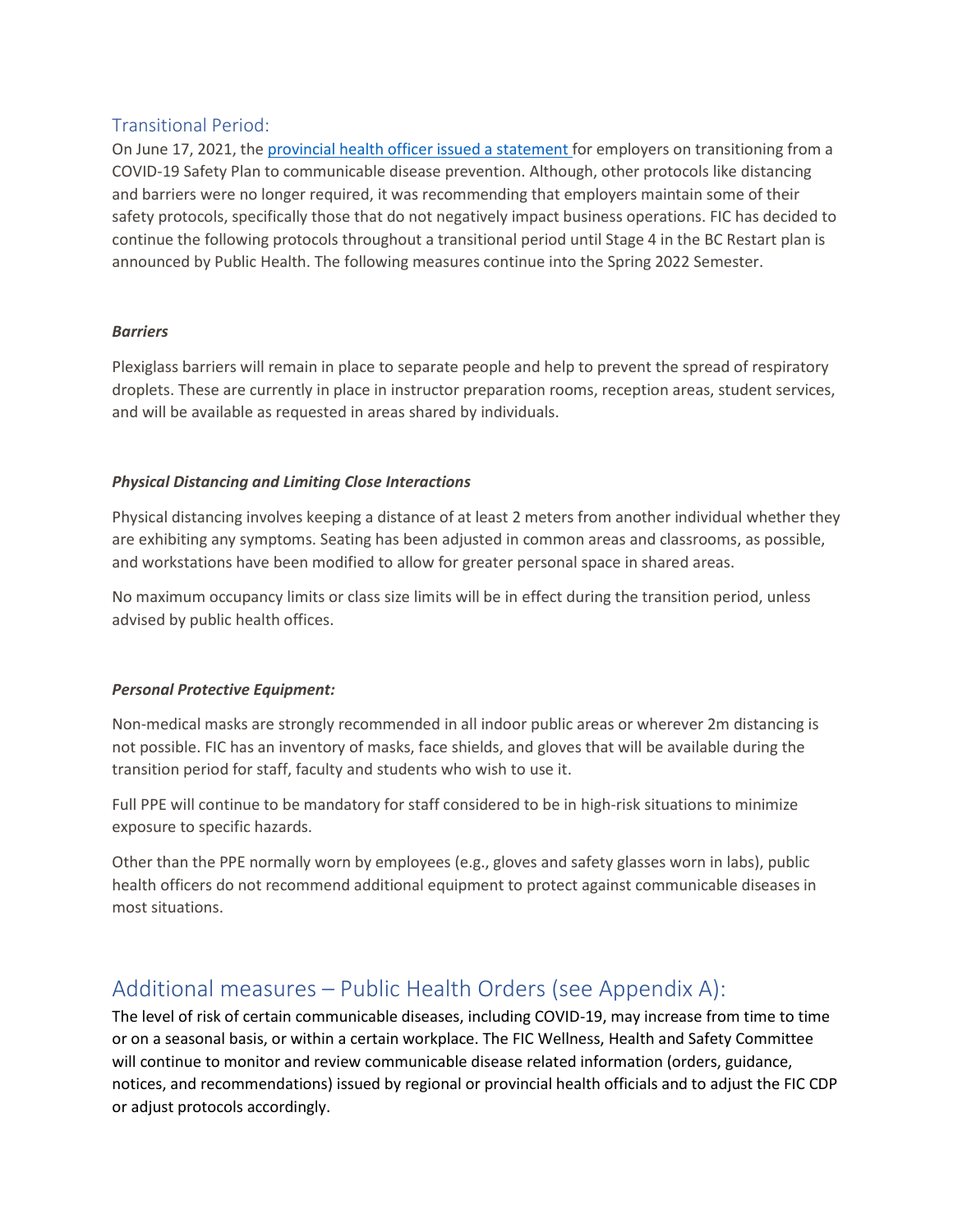#### <span id="page-8-0"></span>Transitional Period:

On June 17, 2021, the [provincial health officer issued a](https://www2.gov.bc.ca/assets/gov/health/about-bc-s-health-care-system/office-of-the-provincial-health-officer/covid-19/covid-19-pho-letter-communicable-disease-plans.pdf) statement for employers on transitioning from a COVID-19 Safety Plan to communicable disease prevention. Although, other protocols like distancing and barriers were no longer required, it was recommending that employers maintain some of their safety protocols, specifically those that do not negatively impact business operations. FIC has decided to continue the following protocols throughout a transitional period until Stage 4 in the BC Restart plan is announced by Public Health. The following measures continue into the Spring 2022 Semester.

#### *Barriers*

Plexiglass barriers will remain in place to separate people and help to prevent the spread of respiratory droplets. These are currently in place in instructor preparation rooms, reception areas, student services, and will be available as requested in areas shared by individuals.

#### *Physical Distancing and Limiting Close Interactions*

Physical distancing involves keeping a distance of at least 2 meters from another individual whether they are exhibiting any symptoms. Seating has been adjusted in common areas and classrooms, as possible, and workstations have been modified to allow for greater personal space in shared areas.

No maximum occupancy limits or class size limits will be in effect during the transition period, unless advised by public health offices.

#### *Personal Protective Equipment:*

Non-medical masks are strongly recommended in all indoor public areas or wherever 2m distancing is not possible. FIC has an inventory of masks, face shields, and gloves that will be available during the transition period for staff, faculty and students who wish to use it.

Full PPE will continue to be mandatory for staff considered to be in high-risk situations to minimize exposure to specific hazards.

Other than the PPE normally worn by employees (e.g., gloves and safety glasses worn in labs), public health officers do not recommend additional equipment to protect against communicable diseases in most situations.

# <span id="page-8-1"></span>Additional measures – Public Health Orders (see Appendix A):

The level of risk of certain communicable diseases, including COVID-19, may increase from time to time or on a seasonal basis, or within a certain workplace. The FIC Wellness, Health and Safety Committee will continue to monitor and review communicable disease related information (orders, guidance, notices, and recommendations) issued by regional or provincial health officials and to adjust the FIC CDP or adjust protocols accordingly.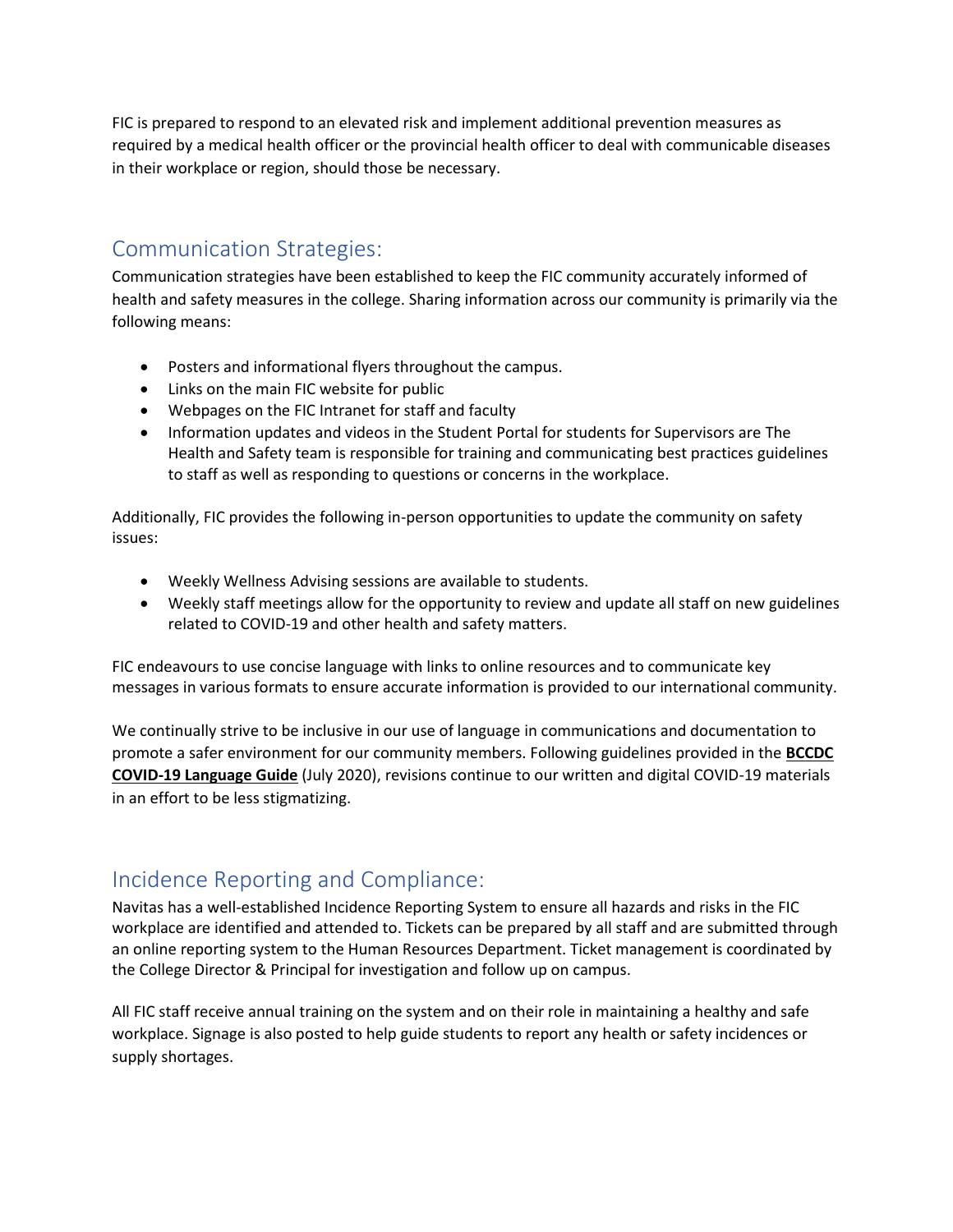FIC is prepared to respond to an elevated risk and implement additional prevention measures as required by a medical health officer or the provincial health officer to deal with communicable diseases in their workplace or region, should those be necessary.

# <span id="page-9-0"></span>Communication Strategies:

Communication strategies have been established to keep the FIC community accurately informed of health and safety measures in the college. Sharing information across our community is primarily via the following means:

- Posters and informational flyers throughout the campus.
- Links on the main FIC website for public
- Webpages on the FIC Intranet for staff and faculty
- Information updates and videos in the Student Portal for students for Supervisors are The Health and Safety team is responsible for training and communicating best practices guidelines to staff as well as responding to questions or concerns in the workplace.

Additionally, FIC provides the following in-person opportunities to update the community on safety issues:

- Weekly Wellness Advising sessions are available to students.
- Weekly staff meetings allow for the opportunity to review and update all staff on new guidelines related to COVID-19 and other health and safety matters.

FIC endeavours to use concise language with links to online resources and to communicate key messages in various formats to ensure accurate information is provided to our international community.

We continually strive to be inclusive in our use of language in communications and documentation to promote a safer environment for our community members. Following guidelines provided in the **[BCCDC](http://www.bccdc.ca/Health-Info-Site/Documents/Language-guide.pdf)  [COVID-19 Language Guide](http://www.bccdc.ca/Health-Info-Site/Documents/Language-guide.pdf)** (July 2020), revisions continue to our written and digital COVID-19 materials in an effort to be less stigmatizing.

# <span id="page-9-1"></span>Incidence Reporting and Compliance:

Navitas has a well-established Incidence Reporting System to ensure all hazards and risks in the FIC workplace are identified and attended to. Tickets can be prepared by all staff and are submitted through an online reporting system to the Human Resources Department. Ticket management is coordinated by the College Director & Principal for investigation and follow up on campus.

All FIC staff receive annual training on the system and on their role in maintaining a healthy and safe workplace. Signage is also posted to help guide students to report any health or safety incidences or supply shortages.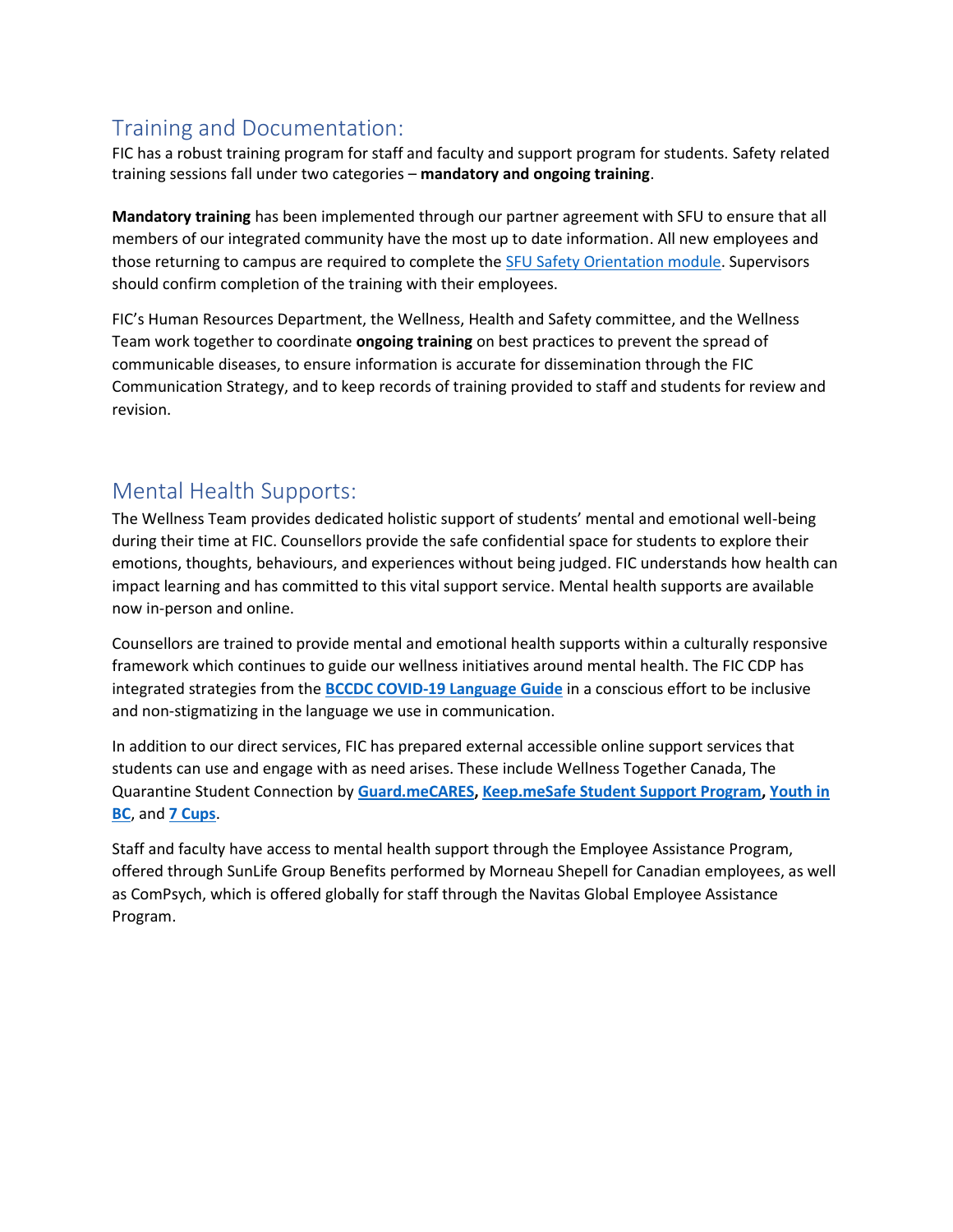# <span id="page-10-0"></span>Training and Documentation:

FIC has a robust training program for staff and faculty and support program for students. Safety related training sessions fall under two categories – **mandatory and ongoing training**.

**Mandatory training** has been implemented through our partner agreement with SFU to ensure that all members of our integrated community have the most up to date information. All new employees and those returning to campus are required to complete the [SFU Safety Orientation module.](https://www.sfu.ca/srs/training.html) Supervisors should confirm completion of the training with their employees.

FIC's Human Resources Department, the Wellness, Health and Safety committee, and the Wellness Team work together to coordinate **ongoing training** on best practices to prevent the spread of communicable diseases, to ensure information is accurate for dissemination through the FIC Communication Strategy, and to keep records of training provided to staff and students for review and revision.

# <span id="page-10-1"></span>Mental Health Supports:

The Wellness Team provides dedicated holistic support of students' mental and emotional well-being during their time at FIC. Counsellors provide the safe confidential space for students to explore their emotions, thoughts, behaviours, and experiences without being judged. FIC understands how health can impact learning and has committed to this vital support service. Mental health supports are available now in-person and online.

Counsellors are trained to provide mental and emotional health supports within a culturally responsive framework which continues to guide our wellness initiatives around mental health. The FIC CDP has integrated strategies from the **[BCCDC COVID-19 Language Guide](http://www.bccdc.ca/Health-Info-Site/Documents/Language-guide.pdf)** in a conscious effort to be inclusive and non-stigmatizing in the language we use in communication.

In addition to our direct services, FIC has prepared external accessible online support services that students can use and engage with as need arises. These include Wellness Together Canada, The Quarantine Student Connection by **[Guard.meCARES,](https://www.guard.me/guardmecares.php) [Keep.meSafe Student Support Program,](http://www.guard.me/keepmesafe.php) [Youth in](https://youthinbc.com/)  [BC](https://youthinbc.com/)**, and **[7 Cups](https://www.7cups.com/)**.

Staff and faculty have access to mental health support through the Employee Assistance Program, offered through SunLife Group Benefits performed by Morneau Shepell for Canadian employees, as well as ComPsych, which is offered globally for staff through the Navitas Global Employee Assistance Program.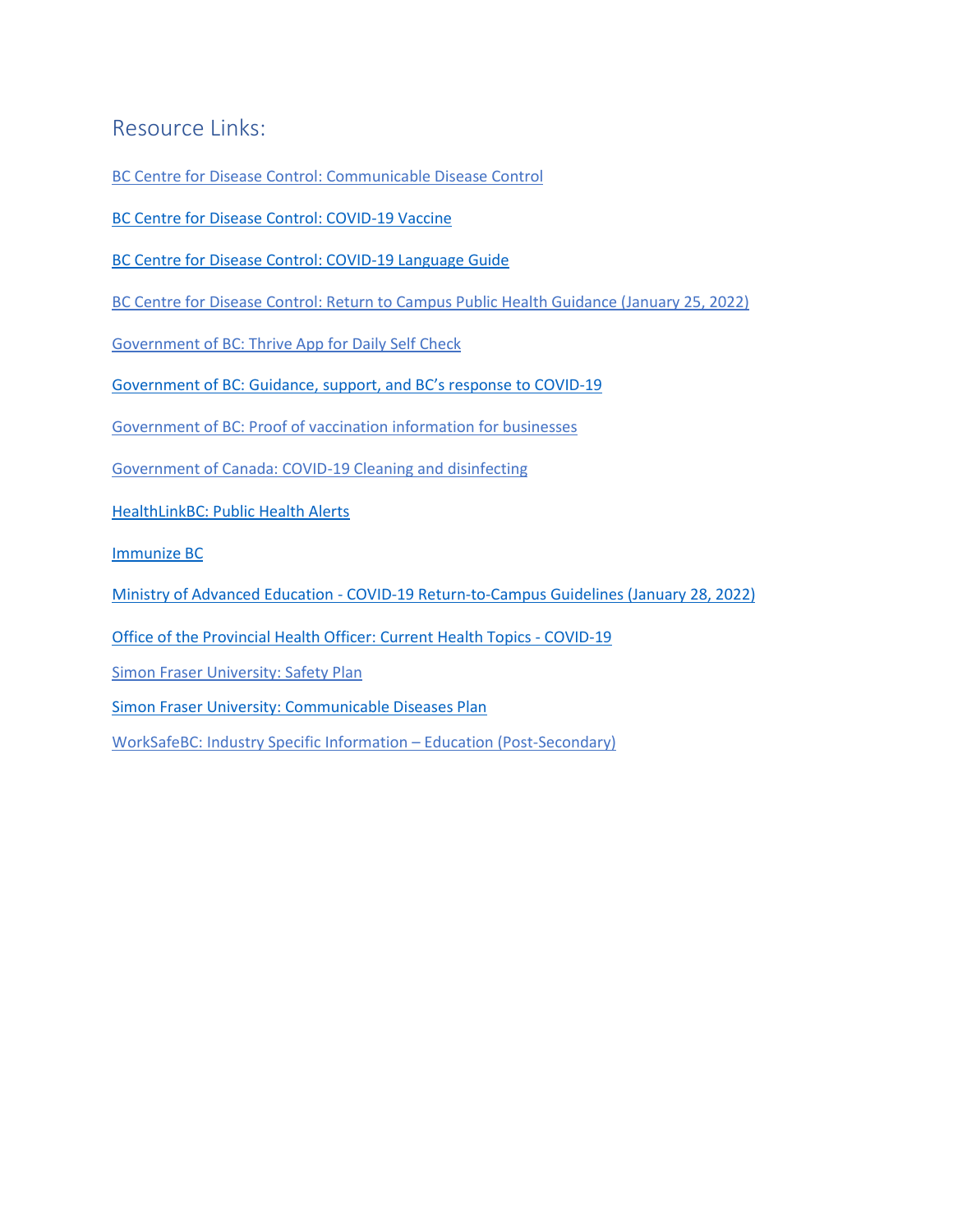# <span id="page-11-0"></span>Resource Links:

[BC Centre for Disease Control: Communicable Disease](http://www.bccdc.ca/health-professionals/clinical-resources/communicable-disease-control-manual/communicable-disease-control) Control

[BC Centre for Disease Control: COVID-19](http://www.bccdc.ca/health-info/diseases-conditions/covid-19/covid-19-vaccine) Vaccine

[BC Centre for Disease Control: COVID-19 Language Guide](http://www.bccdc.ca/Health-Info-Site/Documents/Language-guide.pdf)

[BC Centre for Disease Control: Return to Campus Public Health Guidance \(January 25, 2022\)](http://www.bccdc.ca/Health-Info-Site/Documents/COVID_public_guidance/Public_Health_Guidance_Campus.pdf)

[Government of BC: Thrive App for Daily Self Check](https://bc.thrive.health/covid19app/selfcheck)

[Government of BC: Guidance, support,](https://www2.gov.bc.ca/gov/content/covid-19/info/restart) and BC's response to COVID-19

[Government of BC: Proof of vaccination information for businesses](https://www2.gov.bc.ca/gov/content/covid-19/vaccine/proof/businesses)

[Government of Canada: COVID-19 Cleaning and disinfecting](https://www.canada.ca/en/public-health/services/diseases/2019-novel-coronavirus-infection/prevention-risks/cleaning-disinfecting.html)

[HealthLinkBC: Public Health Alerts](https://www.healthlinkbc.ca/public-health-alerts)

[Immunize BC](https://immunizebc.ca/)

Ministry of Advanced Education - [COVID-19 Return-to-Campus Guidelines](https://www2.gov.bc.ca/assets/gov/education/post-secondary-education/institution-resources-administration/covid19-return-to-campus-guidelines-web.pdf) (January 28, 2022)

[Office of the Provincial Health Officer: Current Health Topics -](https://www2.gov.bc.ca/gov/content/health/about-bc-s-health-care-system/office-of-the-provincial-health-officer/current-health-topics/covid-19-novel-coronavirus) COVID-19

[Simon Fraser University: Safety Plan](https://www.sfu.ca/returntocampus/resources/fall-safety-plan.html)

[Simon Fraser University: Communicable Diseases Plan](https://www.sfu.ca/srs/work-research-safety/general-safety/cdp.html)

[WorkSafeBC: Industry Specific Information](https://www.worksafebc.com/en/covid-19/industry-specific-information/education-post-secondary) – Education (Post-Secondary)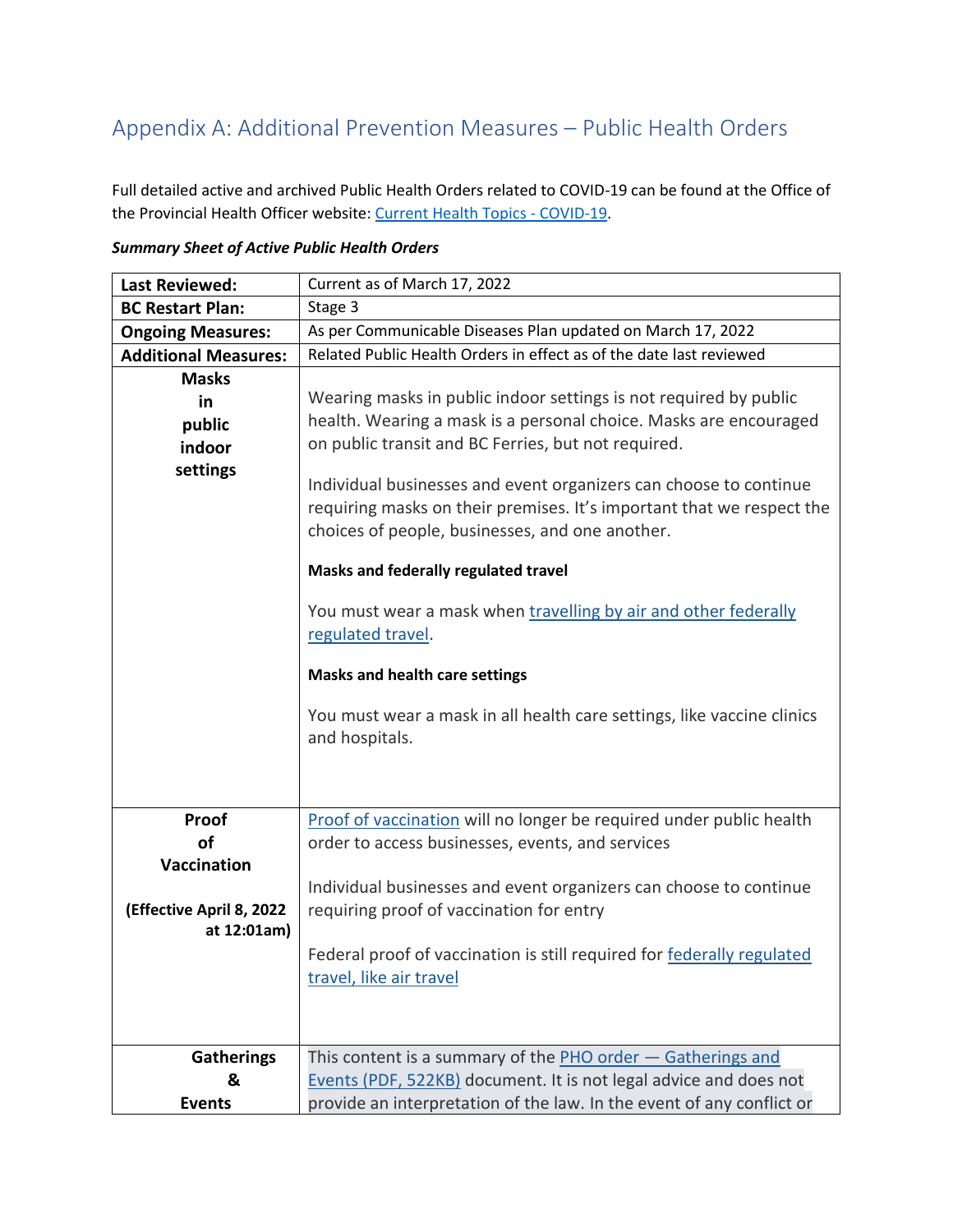# <span id="page-12-0"></span>Appendix A: Additional Prevention Measures – Public Health Orders

Full detailed active and archived Public Health Orders related to COVID-19 can be found at the Office of the Provincial Health Officer website: [Current Health Topics -](https://www2.gov.bc.ca/gov/content/health/about-bc-s-health-care-system/office-of-the-provincial-health-officer/current-health-topics/covid-19-novel-coronavirus) COVID-19.

| <b>Last Reviewed:</b>                                                 | Current as of March 17, 2022                                                                                                                                                                                                                                                                                                                                                                                                                                       |
|-----------------------------------------------------------------------|--------------------------------------------------------------------------------------------------------------------------------------------------------------------------------------------------------------------------------------------------------------------------------------------------------------------------------------------------------------------------------------------------------------------------------------------------------------------|
| <b>BC Restart Plan:</b>                                               | Stage 3                                                                                                                                                                                                                                                                                                                                                                                                                                                            |
| <b>Ongoing Measures:</b>                                              | As per Communicable Diseases Plan updated on March 17, 2022                                                                                                                                                                                                                                                                                                                                                                                                        |
| <b>Additional Measures:</b>                                           | Related Public Health Orders in effect as of the date last reviewed                                                                                                                                                                                                                                                                                                                                                                                                |
| <b>Masks</b>                                                          |                                                                                                                                                                                                                                                                                                                                                                                                                                                                    |
| in                                                                    | Wearing masks in public indoor settings is not required by public                                                                                                                                                                                                                                                                                                                                                                                                  |
| public                                                                | health. Wearing a mask is a personal choice. Masks are encouraged                                                                                                                                                                                                                                                                                                                                                                                                  |
| indoor                                                                | on public transit and BC Ferries, but not required.                                                                                                                                                                                                                                                                                                                                                                                                                |
| settings                                                              | Individual businesses and event organizers can choose to continue<br>requiring masks on their premises. It's important that we respect the<br>choices of people, businesses, and one another.<br>Masks and federally regulated travel<br>You must wear a mask when travelling by air and other federally<br>regulated travel.<br><b>Masks and health care settings</b><br>You must wear a mask in all health care settings, like vaccine clinics<br>and hospitals. |
|                                                                       |                                                                                                                                                                                                                                                                                                                                                                                                                                                                    |
| Proof<br>of<br>Vaccination<br>(Effective April 8, 2022<br>at 12:01am) | Proof of vaccination will no longer be required under public health<br>order to access businesses, events, and services<br>Individual businesses and event organizers can choose to continue<br>requiring proof of vaccination for entry<br>Federal proof of vaccination is still required for federally regulated<br>travel, like air travel                                                                                                                      |
| <b>Gatherings</b>                                                     | This content is a summary of the $PHO$ order $-$ Gatherings and                                                                                                                                                                                                                                                                                                                                                                                                    |
| &                                                                     | Events (PDF, 522KB) document. It is not legal advice and does not                                                                                                                                                                                                                                                                                                                                                                                                  |
| <b>Events</b>                                                         | provide an interpretation of the law. In the event of any conflict or                                                                                                                                                                                                                                                                                                                                                                                              |

*Summary Sheet of Active Public Health Orders*